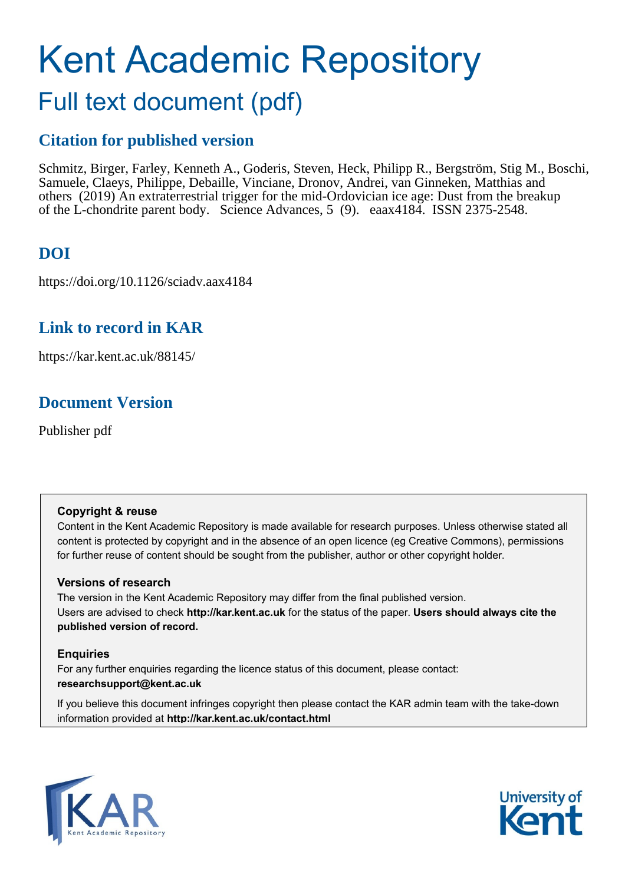# Kent Academic Repository

## Full text document (pdf)

## **Citation for published version**

Schmitz, Birger, Farley, Kenneth A., Goderis, Steven, Heck, Philipp R., Bergström, Stig M., Boschi, Samuele, Claeys, Philippe, Debaille, Vinciane, Dronov, Andrei, van Ginneken, Matthias and others (2019) An extraterrestrial trigger for the mid-Ordovician ice age: Dust from the breakup of the L-chondrite parent body. Science Advances, 5 (9). eaax4184. ISSN 2375-2548.

## **DOI**

https://doi.org/10.1126/sciadv.aax4184

### **Link to record in KAR**

https://kar.kent.ac.uk/88145/

## **Document Version**

Publisher pdf

#### **Copyright & reuse**

Content in the Kent Academic Repository is made available for research purposes. Unless otherwise stated all content is protected by copyright and in the absence of an open licence (eg Creative Commons), permissions for further reuse of content should be sought from the publisher, author or other copyright holder.

#### **Versions of research**

The version in the Kent Academic Repository may differ from the final published version. Users are advised to check **http://kar.kent.ac.uk** for the status of the paper. **Users should always cite the published version of record.**

#### **Enquiries**

For any further enquiries regarding the licence status of this document, please contact: **researchsupport@kent.ac.uk**

If you believe this document infringes copyright then please contact the KAR admin team with the take-down information provided at **http://kar.kent.ac.uk/contact.html**



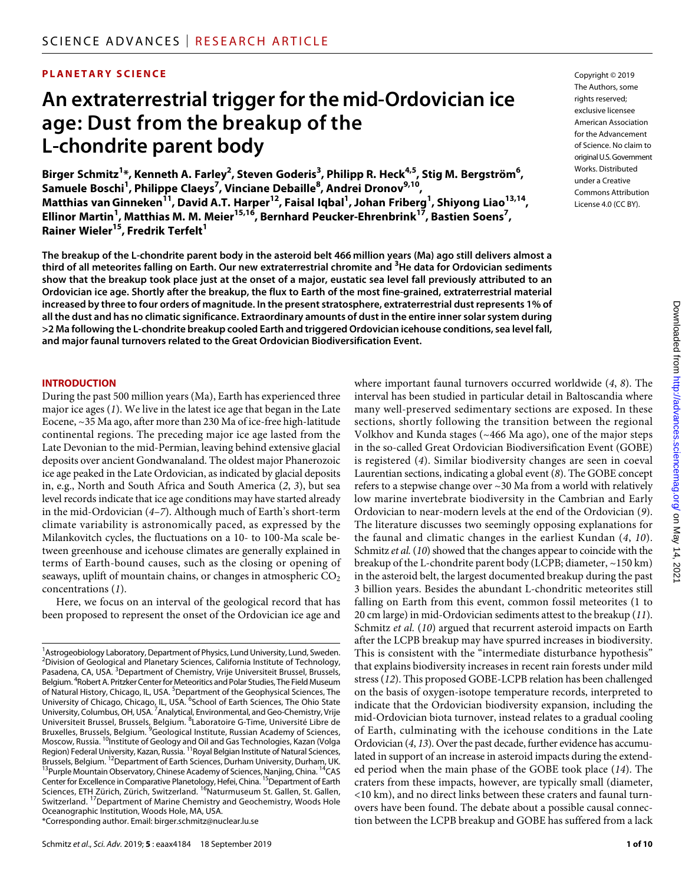#### **PLANETARY SCIENCE**

## **An extraterrestrial trigger forthe mid-Ordovician ice age: Dust from the breakup of the L-chondrite parent body**

Birger Schmitz<sup>1</sup>\*, Kenneth A. Farley<sup>2</sup>, Steven Goderis<sup>3</sup>, Philipp R. Heck<sup>4,5</sup>, Stig M. Bergström<sup>6</sup>, **Samuele Boschi<sup>1</sup> , Philippe Claeys7 , Vinciane Debaille8 , Andrei Dronov9,10, Matthias vanGinneken11, David A.T. Harper12, Faisal Iqbal1 , Johan Friberg1 , Shiyong Liao13,14, Ellinor Martin1 , Matthias M. M. Meier15,16, Bernhard Peucker-Ehrenbrink17, Bastien Soens7 , Rainer Wieler<sup>15</sup>, Fredrik Terfelt<sup>1</sup>** 

**The breakup of the L-chondrite parent body in the asteroid belt 466 million years (Ma) ago still delivers almost a third of all meteorites falling on Earth. Our new extraterrestrial chromite and <sup>3</sup> He data for Ordovician sediments show that the breakup took place just at the onset of a major, eustatic sea level fall previously attributed to an Ordovician ice age. Shortly after the breakup, the flux to Earth of the most fine-grained, extraterrestrial material increased by three to four orders of magnitude. In the present stratosphere, extraterrestrial dust represents 1% of all the dust and has no climatic significance. Extraordinary amounts of dust in the entire inner solar system during >2 Ma following the L-chondrite breakup cooled Earth and triggered Ordovician icehouse conditions, sea level fall, and major faunal turnovers related to the Great Ordovician Biodiversification Event.**

#### **INTRODUCTION**

During the past 500 million years (Ma), Earth has experienced three major ice ages (*1*). We live in the latest ice age that began in the Late Eocene, ~35 Ma ago, after more than 230 Ma of ice-free high-latitude continental regions. The preceding major ice age lasted from the Late Devonian to the mid-Permian, leaving behind extensive glacial deposits over ancient Gondwanaland. The oldest major Phanerozoic ice age peaked in the Late Ordovician, as indicated by glacial deposits in, e.g., North and South Africa and South America (*2*, *3*), but sea level records indicate that ice age conditions may have started already in the mid-Ordovician (*4*–*7*). Although much of Earth's short-term climate variability is astronomically paced, as expressed by the Milankovitch cycles, the fluctuations on a 10- to 100-Ma scale between greenhouse and icehouse climates are generally explained in terms of Earth-bound causes, such as the closing or opening of seaways, uplift of mountain chains, or changes in atmospheric  $CO<sub>2</sub>$ concentrations (*1*).

Here, we focus on an interval of the geological record that has been proposed to represent the onset of the Ordovician ice age and

Copyright © 2019 The Authors, some rights reserved: exclusive licensee American Association for the Advancement of Science. No claim to original U.S.Government Works. Distributed under a Creative Commons Attribution License 4.0 (CC BY).

where important faunal turnovers occurred worldwide (*4*, *8*). The interval has been studied in particular detail in Baltoscandia where many well-preserved sedimentary sections are exposed. In these sections, shortly following the transition between the regional Volkhov and Kunda stages (~466 Ma ago), one of the major steps in the so-called Great Ordovician Biodiversification Event (GOBE) is registered (*4*). Similar biodiversity changes are seen in coeval Laurentian sections, indicating a global event (*8*). The GOBE concept refers to a stepwise change over ~30 Ma from a world with relatively low marine invertebrate biodiversity in the Cambrian and Early Ordovician to near-modern levels at the end of the Ordovician (*9*). The literature discusses two seemingly opposing explanations for the faunal and climatic changes in the earliest Kundan (*4*, *10*). Schmitz *et al.* (*10*) showed that the changes appear to coincide with the breakup of the L-chondrite parent body (LCPB; diameter, ~150 km) in the asteroid belt, the largest documented breakup during the past 3 billion years. Besides the abundant L-chondritic meteorites still falling on Earth from this event, common fossil meteorites (1 to 20 cm large) in mid-Ordovician sediments attest to the breakup (*11*). Schmitz *et al.* (*10*) argued that recurrent asteroid impacts on Earth after the LCPB breakup may have spurred increases in biodiversity. This is consistent with the "intermediate disturbance hypothesis" that explains biodiversity increases in recent rain forests under mild stress (*12*). This proposed GOBE-LCPB relation has been challenged on the basis of oxygen-isotope temperature records, interpreted to indicate that the Ordovician biodiversity expansion, including the mid-Ordovician biota turnover, instead relates to a gradual cooling of Earth, culminating with the icehouse conditions in the Late Ordovician (*4*, *13*). Over the past decade, further evidence has accumulated in support of an increase in asteroid impacts during the extended period when the main phase of the GOBE took place (*14*). The craters from these impacts, however, are typically small (diameter, <10 km), and no direct links between these craters and faunal turnovers have been found. The debate about a possible causal connection between the LCPB breakup and GOBE has suffered from a lack

<sup>&</sup>lt;sup>1</sup> Astrogeobiology Laboratory, Department of Physics, Lund University, Lund, Sweden. <sup>2</sup> Division of Geological and Planetary Sciences, California Institute of Technology, Pasadena, CA, USA. <sup>3</sup> Department of Chemistry, Vrije Universiteit Brussel, Brussels, Belgium. <sup>4</sup>Robert A. Pritzker Center for Meteoritics and Polar Studies, The Field Museum of Natural History, Chicago, IL, USA. <sup>5</sup>Department of the Geophysical Sciences, The University of Chicago, Chicago, IL, USA. <sup>6</sup>School of Earth Sciences, The Ohio State<br>University, Columbus, OH, USA. <sup>7</sup>Analytical, Environmental, and Geo-Chemistry, Vrije Universiteit Brussel, Brussels, Belgium. <sup>8</sup>Laboratoire G-Time, Université Libre de Bruxelles, Brussels, Belgium. <sup>9</sup>Geological Institute, Russian Academy of Sciences, Moscow, Russia. <sup>10</sup>Institute of Geology and Oil and Gas Technologies, Kazan (Volga Region) Federal University, Kazan, Russia. 11Royal Belgian Institute of Natural Sciences, Brussels, Belgium. <sup>12</sup>Department of Earth Sciences, Durham University, Durham, UK.<br>Brussels, Belgium. <sup>12</sup>Department of Earth Sciences, Durham University, Durham, UK.<br><sup>13</sup>Purple Mountain Observatory, Chinese Academy of Sc Center for Excellence in Comparative Planetology, Hefei, China. <sup>15</sup>Department of Earth Sciences, ETH Zürich, Zürich, Switzerland. <sup>16</sup>Naturmuseum St. Gallen, St. Gallen, Switzerland. 17Department of Marine Chemistry and Geochemistry, Woods Hole Oceanographic Institution, Woods Hole, MA, USA. \*Corresponding author. Email: birger.schmitz@nuclear.lu.se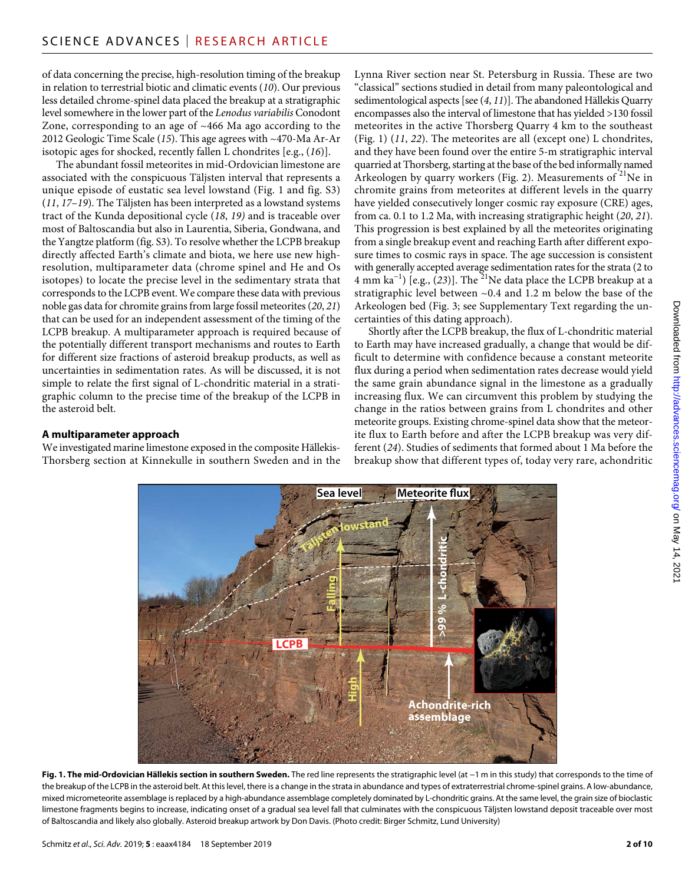of data concerning the precise, high-resolution timing of the breakup in relation to terrestrial biotic and climatic events (*10*). Our previous less detailed chrome-spinel data placed the breakup at a stratigraphic level somewhere in the lower part of the *Lenodus variabilis* Conodont Zone, corresponding to an age of ~466 Ma ago according to the 2012 Geologic Time Scale (*15*). This age agrees with ~470-Ma Ar-Ar isotopic ages for shocked, recently fallen L chondrites [e.g., (*16*)].

The abundant fossil meteorites in mid-Ordovician limestone are associated with the conspicuous Täljsten interval that represents a unique episode of eustatic sea level lowstand (Fig. 1 and fig. S3) (*11*, *17*–*19*). The Täljsten has been interpreted as a lowstand systems tract of the Kunda depositional cycle (*18*, *19)* and is traceable over most of Baltoscandia but also in Laurentia, Siberia, Gondwana, and the Yangtze platform (fig. S3). To resolve whether the LCPB breakup directly affected Earth's climate and biota, we here use new highresolution, multiparameter data (chrome spinel and He and Os isotopes) to locate the precise level in the sedimentary strata that corresponds to the LCPB event. We compare these data with previous noble gas data for chromite grains from large fossil meteorites (*20*, *21*) that can be used for an independent assessment of the timing of the LCPB breakup. A multiparameter approach is required because of the potentially different transport mechanisms and routes to Earth for different size fractions of asteroid breakup products, as well as uncertainties in sedimentation rates. As will be discussed, it is not simple to relate the first signal of L-chondritic material in a stratigraphic column to the precise time of the breakup of the LCPB in the asteroid belt.

#### **A multiparameter approach**

We investigated marine limestone exposed in the composite Hällekis-Thorsberg section at Kinnekulle in southern Sweden and in the Lynna River section near St. Petersburg in Russia. These are two "classical" sections studied in detail from many paleontological and sedimentological aspects [see (*4*, *11*)]. The abandoned Hällekis Quarry encompasses also the interval of limestone that has yielded >130 fossil meteorites in the active Thorsberg Quarry 4 km to the southeast (Fig. 1) (*11*, *22*). The meteorites are all (except one) L chondrites, and they have been found over the entire 5-m stratigraphic interval quarried at Thorsberg, starting at the base of the bed informally named Arkeologen by quarry workers (Fig. 2). Measurements of  $^{21}$ Ne in chromite grains from meteorites at different levels in the quarry have yielded consecutively longer cosmic ray exposure (CRE) ages, from ca. 0.1 to 1.2 Ma, with increasing stratigraphic height (*20*, *21*). This progression is best explained by all the meteorites originating from a single breakup event and reaching Earth after different exposure times to cosmic rays in space. The age succession is consistent with generally accepted average sedimentation rates for the strata (2 to 4 mm ka−1) [e.g., (*23*)]. The 21Ne data place the LCPB breakup at a stratigraphic level between ~0.4 and 1.2 m below the base of the Arkeologen bed (Fig. 3; see Supplementary Text regarding the uncertainties of this dating approach).

Shortly after the LCPB breakup, the flux of L-chondritic material to Earth may have increased gradually, a change that would be difficult to determine with confidence because a constant meteorite flux during a period when sedimentation rates decrease would yield the same grain abundance signal in the limestone as a gradually increasing flux. We can circumvent this problem by studying the change in the ratios between grains from L chondrites and other meteorite groups. Existing chrome-spinel data show that the meteorite flux to Earth before and after the LCPB breakup was very different (*24*). Studies of sediments that formed about 1 Ma before the breakup show that different types of, today very rare, achondritic



**Fig. 1. The mid-Ordovician Hällekis section in southern Sweden.** The red line represents the stratigraphic level (at −1 m in this study) that corresponds to the time of the breakup of the LCPB in the asteroid belt. At this level, there is a change in the strata in abundance and types of extraterrestrial chrome-spinel grains. A low-abundance, mixed micrometeorite assemblage is replaced by a high-abundance assemblage completely dominated by L-chondritic grains. At the same level, the grain size of bioclastic limestone fragments begins to increase, indicating onset of a gradual sea level fall that culminates with the conspicuous Täljsten lowstand deposit traceable over most of Baltoscandia and likely also globally. Asteroid breakup artwork by Don Davis. (Photo credit: Birger Schmitz, Lund University)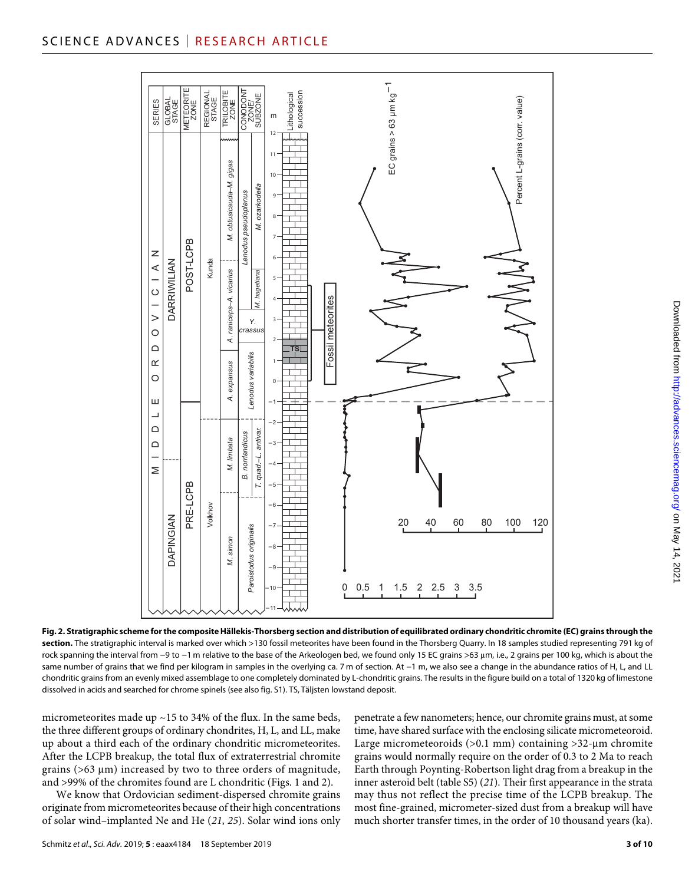#### SCIENCE ADVANCES | RESEARCH ARTICLE



Downloaded from http://advances.sciencemag.org/ on May 14, 202 on May 14, 2021 <http://advances.sciencemag.org/> Downloaded from

**Fig. 2. Stratigraphic scheme for the composite Hällekis-Thorsberg section and distribution of equilibrated ordinary chondritic chromite (EC) grains through the**  section. The stratigraphic interval is marked over which >130 fossil meteorites have been found in the Thorsberg Quarry. In 18 samples studied representing 791 kg of rock spanning the interval from −9 to −1 m relative to the base of the Arkeologen bed, we found only 15 EC grains >63 µm, i.e., 2 grains per 100 kg, which is about the same number of grains that we find per kilogram in samples in the overlying ca. 7 m of section. At −1 m, we also see a change in the abundance ratios of H, L, and LL chondritic grains from an evenly mixed assemblage to one completely dominated by L-chondritic grains. The results in the figure build on a total of 1320 kg of limestone dissolved in acids and searched for chrome spinels (see also fig. S1). TS, Täljsten lowstand deposit.

micrometeorites made up  $\sim$  15 to 34% of the flux. In the same beds, the three different groups of ordinary chondrites, H, L, and LL, make up about a third each of the ordinary chondritic micrometeorites. After the LCPB breakup, the total flux of extraterrestrial chromite grains ( $>63 \mu m$ ) increased by two to three orders of magnitude, and >99% of the chromites found are L chondritic (Figs. 1 and 2).

We know that Ordovician sediment-dispersed chromite grains originate from micrometeorites because of their high concentrations of solar wind–implanted Ne and He (*21*, *25*). Solar wind ions only penetrate a few nanometers; hence, our chromite grains must, at some time, have shared surface with the enclosing silicate micrometeoroid. Large micrometeoroids  $(>0.1$  mm) containing  $>32$ -µm chromite grains would normally require on the order of 0.3 to 2 Ma to reach Earth through Poynting-Robertson light drag from a breakup in the inner asteroid belt (table S5) (*21*). Their first appearance in the strata may thus not reflect the precise time of the LCPB breakup. The most fine-grained, micrometer-sized dust from a breakup will have much shorter transfer times, in the order of 10 thousand years (ka).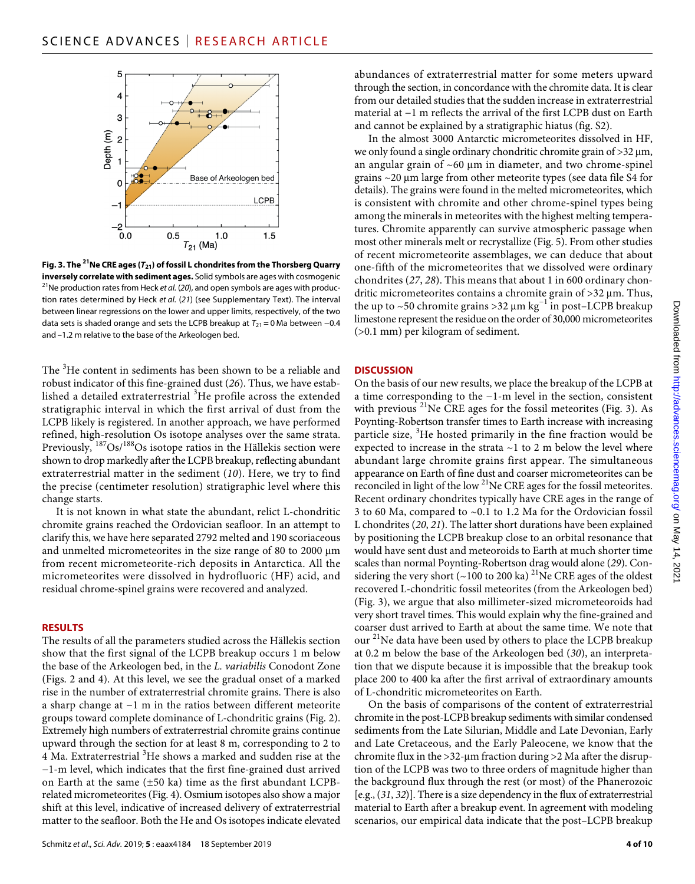

**Fig. 3. The 21Ne CRE ages (***T***21) of fossil L chondrites from the Thorsberg Quarry inversely correlate with sediment ages.** Solid symbols are ages with cosmogenic <sup>21</sup>Ne production rates from Heck *et al.* (*20*), and open symbols are ages with production rates determined by Heck *et al.* (*21*) (see Supplementary Text). The interval between linear regressions on the lower and upper limits, respectively, of the two data sets is shaded orange and sets the LCPB breakup at  $T_{21} = 0$  Ma between  $-0.4$ and –1.2 m relative to the base of the Arkeologen bed.

The <sup>3</sup>He content in sediments has been shown to be a reliable and robust indicator of this fine-grained dust (*26*). Thus, we have established a detailed extraterrestrial  ${}^{3}{\rm He}$  profile across the extended stratigraphic interval in which the first arrival of dust from the LCPB likely is registered. In another approach, we have performed refined, high-resolution Os isotope analyses over the same strata. Previously, <sup>187</sup>Os/<sup>188</sup>Os isotope ratios in the Hällekis section were shown to drop markedly after the LCPB breakup, reflecting abundant extraterrestrial matter in the sediment (*10*). Here, we try to find the precise (centimeter resolution) stratigraphic level where this change starts.

It is not known in what state the abundant, relict L-chondritic chromite grains reached the Ordovician seafloor. In an attempt to clarify this, we have here separated 2792 melted and 190 scoriaceous and unmelted micrometeorites in the size range of 80 to 2000 µm from recent micrometeorite-rich deposits in Antarctica. All the micrometeorites were dissolved in hydrofluoric (HF) acid, and residual chrome-spinel grains were recovered and analyzed.

#### **RESULTS**

The results of all the parameters studied across the Hällekis section show that the first signal of the LCPB breakup occurs 1 m below the base of the Arkeologen bed, in the *L. variabilis* Conodont Zone (Figs. 2 and 4). At this level, we see the gradual onset of a marked rise in the number of extraterrestrial chromite grains. There is also a sharp change at −1 m in the ratios between different meteorite groups toward complete dominance of L-chondritic grains (Fig. 2). Extremely high numbers of extraterrestrial chromite grains continue upward through the section for at least 8 m, corresponding to 2 to 4 Ma. Extraterrestrial <sup>3</sup>He shows a marked and sudden rise at the −1-m level, which indicates that the first fine-grained dust arrived on Earth at the same (±50 ka) time as the first abundant LCPBrelated micrometeorites (Fig. 4). Osmium isotopes also show a major shift at this level, indicative of increased delivery of extraterrestrial matter to the seafloor. Both the He and Os isotopes indicate elevated

abundances of extraterrestrial matter for some meters upward through the section, in concordance with the chromite data. It is clear from our detailed studies that the sudden increase in extraterrestrial material at −1 m reflects the arrival of the first LCPB dust on Earth and cannot be explained by a stratigraphic hiatus (fig. S2).

In the almost 3000 Antarctic micrometeorites dissolved in HF, we only found a single ordinary chondritic chromite grain of  $>32 \mu m$ , an angular grain of  $~60~\mu m$  in diameter, and two chrome-spinel grains  $\sim$  20  $\mu$ m large from other meteorite types (see data file S4 for details). The grains were found in the melted micrometeorites, which is consistent with chromite and other chrome-spinel types being among the minerals in meteorites with the highest melting temperatures. Chromite apparently can survive atmospheric passage when most other minerals melt or recrystallize (Fig. 5). From other studies of recent micrometeorite assemblages, we can deduce that about one-fifth of the micrometeorites that we dissolved were ordinary chondrites (*27*, *28*). This means that about 1 in 600 ordinary chondritic micrometeorites contains a chromite grain of  $>32 \mu m$ . Thus, the up to ~50 chromite grains >32 μm kg<sup>-1</sup> in post-LCPB breakup limestone represent the residue on the order of 30,000 micrometeorites (>0.1 mm) per kilogram of sediment.

#### **DISCUSSION**

On the basis of our new results, we place the breakup of the LCPB at a time corresponding to the −1-m level in the section, consistent with previous  $^{21}$ Ne CRE ages for the fossil meteorites (Fig. 3). As Poynting-Robertson transfer times to Earth increase with increasing particle size, <sup>3</sup>He hosted primarily in the fine fraction would be expected to increase in the strata  $\sim$ 1 to 2 m below the level where abundant large chromite grains first appear. The simultaneous appearance on Earth of fine dust and coarser micrometeorites can be reconciled in light of the low  $2^{1}$ Ne CRE ages for the fossil meteorites. Recent ordinary chondrites typically have CRE ages in the range of 3 to 60 Ma, compared to ~0.1 to 1.2 Ma for the Ordovician fossil L chondrites (*20*, *21*). The latter short durations have been explained by positioning the LCPB breakup close to an orbital resonance that would have sent dust and meteoroids to Earth at much shorter time scales than normal Poynting-Robertson drag would alone (*29*). Considering the very short (~100 to 200 ka) <sup>21</sup>Ne CRE ages of the oldest recovered L-chondritic fossil meteorites (from the Arkeologen bed) (Fig. 3), we argue that also millimeter-sized micrometeoroids had very short travel times. This would explain why the fine-grained and coarser dust arrived to Earth at about the same time. We note that our  $^{21}$ Ne data have been used by others to place the LCPB breakup at 0.2 m below the base of the Arkeologen bed (*30*), an interpretation that we dispute because it is impossible that the breakup took place 200 to 400 ka after the first arrival of extraordinary amounts of L-chondritic micrometeorites on Earth.

On the basis of comparisons of the content of extraterrestrial chromite in the post-LCPB breakup sediments with similar condensed sediments from the Late Silurian, Middle and Late Devonian, Early and Late Cretaceous, and the Early Paleocene, we know that the chromite flux in the  $>32$ -µm fraction during  $>2$  Ma after the disruption of the LCPB was two to three orders of magnitude higher than the background flux through the rest (or most) of the Phanerozoic [e.g., (*31*, *32*)]. There is a size dependency in the flux of extraterrestrial material to Earth after a breakup event. In agreement with modeling scenarios, our empirical data indicate that the post–LCPB breakup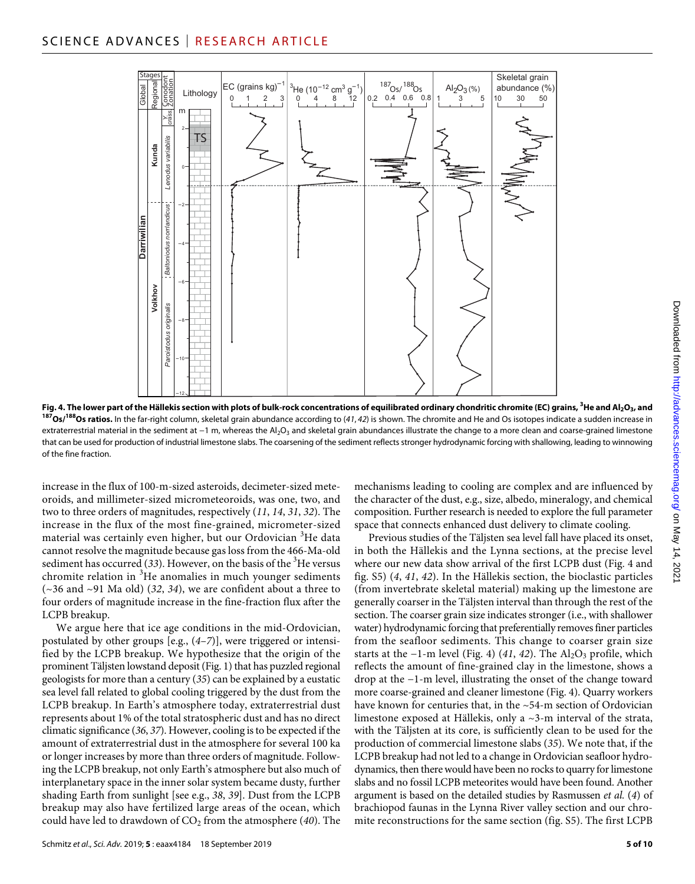

Fig. 4. The lower part of the Hällekis section with plots of bulk-rock concentrations of equilibrated ordinary chondritic chromite (EC) grains, <sup>3</sup>He and Al<sub>2</sub>O<sub>3</sub>, and <sup>187</sup>Os/<sup>188</sup>Os ratios. In the far-right column, skeletal grain abundance according to (41, 42) is shown. The chromite and He and Os isotopes indicate a sudden increase in extraterrestrial material in the sediment at −1 m, whereas the Al<sub>2</sub>O<sub>3</sub> and skeletal grain abundances illustrate the change to a more clean and coarse-grained limestone that can be used for production of industrial limestone slabs. The coarsening of the sediment reflects stronger hydrodynamic forcing with shallowing, leading to winnowing of the fine fraction.

increase in the flux of 100-m-sized asteroids, decimeter-sized meteoroids, and millimeter-sized micrometeoroids, was one, two, and two to three orders of magnitudes, respectively (*11*, *14*, *31*, *32*). The increase in the flux of the most fine-grained, micrometer-sized material was certainly even higher, but our Ordovician <sup>3</sup>He data cannot resolve the magnitude because gas loss from the 466-Ma-old sediment has occurred  $(33)$ . However, on the basis of the <sup>3</sup>He versus chromite relation in <sup>3</sup>He anomalies in much younger sediments (~36 and ~91 Ma old) (*32*, *34*), we are confident about a three to four orders of magnitude increase in the fine-fraction flux after the LCPB breakup.

We argue here that ice age conditions in the mid-Ordovician, postulated by other groups [e.g., (*4*–*7*)], were triggered or intensified by the LCPB breakup. We hypothesize that the origin of the prominent Täljsten lowstand deposit (Fig. 1) that has puzzled regional geologists for more than a century (*35*) can be explained by a eustatic sea level fall related to global cooling triggered by the dust from the LCPB breakup. In Earth's atmosphere today, extraterrestrial dust represents about 1% of the total stratospheric dust and has no direct climatic significance (*36*, *37*). However, cooling is to be expected if the amount of extraterrestrial dust in the atmosphere for several 100 ka or longer increases by more than three orders of magnitude. Following the LCPB breakup, not only Earth's atmosphere but also much of interplanetary space in the inner solar system became dusty, further shading Earth from sunlight [see e.g., *38*, *39*]. Dust from the LCPB breakup may also have fertilized large areas of the ocean, which could have led to drawdown of CO<sub>2</sub> from the atmosphere (40). The

mechanisms leading to cooling are complex and are influenced by the character of the dust, e.g., size, albedo, mineralogy, and chemical composition. Further research is needed to explore the full parameter space that connects enhanced dust delivery to climate cooling.

Previous studies of the Täljsten sea level fall have placed its onset, in both the Hällekis and the Lynna sections, at the precise level where our new data show arrival of the first LCPB dust (Fig. 4 and fig. S5) (*4*, *41*, *42*). In the Hällekis section, the bioclastic particles (from invertebrate skeletal material) making up the limestone are generally coarser in the Täljsten interval than through the rest of the section. The coarser grain size indicates stronger (i.e., with shallower water) hydrodynamic forcing that preferentially removes finer particles from the seafloor sediments. This change to coarser grain size starts at the  $-1$ -m level (Fig. 4) (41, 42). The Al<sub>2</sub>O<sub>3</sub> profile, which reflects the amount of fine-grained clay in the limestone, shows a drop at the −1-m level, illustrating the onset of the change toward more coarse-grained and cleaner limestone (Fig. 4). Quarry workers have known for centuries that, in the ~54-m section of Ordovician limestone exposed at Hällekis, only a ~3-m interval of the strata, with the Täljsten at its core, is sufficiently clean to be used for the production of commercial limestone slabs (*35*). We note that, if the LCPB breakup had not led to a change in Ordovician seafloor hydrodynamics, then there would have been no rocks to quarry for limestone slabs and no fossil LCPB meteorites would have been found. Another argument is based on the detailed studies by Rasmussen *et al.* (*4*) of brachiopod faunas in the Lynna River valley section and our chromite reconstructions for the same section (fig. S5). The first LCPB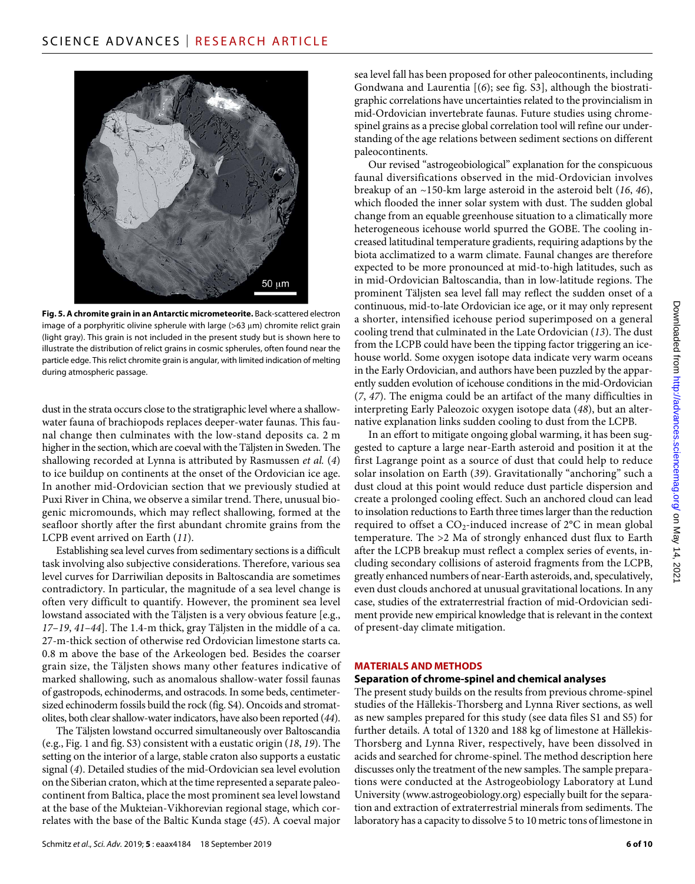

**Fig. 5. A chromite grain in an Antarctic micrometeorite.** Back-scattered electron image of a porphyritic olivine spherule with large ( $>63 \mu m$ ) chromite relict grain (light gray). This grain is not included in the present study but is shown here to illustrate the distribution of relict grains in cosmic spherules, often found near the particle edge. This relict chromite grain is angular, with limited indication of melting during atmospheric passage.

dust in the strata occurs close to the stratigraphic level where a shallowwater fauna of brachiopods replaces deeper-water faunas. This faunal change then culminates with the low-stand deposits ca. 2 m higher in the section, which are coeval with the Täljsten in Sweden. The shallowing recorded at Lynna is attributed by Rasmussen *et al.* (*4*) to ice buildup on continents at the onset of the Ordovician ice age. In another mid-Ordovician section that we previously studied at Puxi River in China, we observe a similar trend. There, unusual biogenic micromounds, which may reflect shallowing, formed at the seafloor shortly after the first abundant chromite grains from the LCPB event arrived on Earth (*11*).

Establishing sea level curves from sedimentary sections is a difficult task involving also subjective considerations. Therefore, various sea level curves for Darriwilian deposits in Baltoscandia are sometimes contradictory. In particular, the magnitude of a sea level change is often very difficult to quantify. However, the prominent sea level lowstand associated with the Täljsten is a very obvious feature [e.g., *17*–*19*, *41*–*44*]. The 1.4-m thick, gray Täljsten in the middle of a ca. 27-m-thick section of otherwise red Ordovician limestone starts ca. 0.8 m above the base of the Arkeologen bed. Besides the coarser grain size, the Täljsten shows many other features indicative of marked shallowing, such as anomalous shallow-water fossil faunas of gastropods, echinoderms, and ostracods. In some beds, centimetersized echinoderm fossils build the rock (fig. S4). Oncoids and stromatolites, both clear shallow-water indicators, have also been reported (*44*).

The Täljsten lowstand occurred simultaneously over Baltoscandia (e.g., Fig. 1 and fig. S3) consistent with a eustatic origin (*18*, *19*). The setting on the interior of a large, stable craton also supports a eustatic signal (*4*). Detailed studies of the mid-Ordovician sea level evolution on the Siberian craton, which at the time represented a separate paleocontinent from Baltica, place the most prominent sea level lowstand at the base of the Mukteian-Vikhorevian regional stage, which correlates with the base of the Baltic Kunda stage (*45*). A coeval major

sea level fall has been proposed for other paleocontinents, including Gondwana and Laurentia [(*6*); see fig. S3], although the biostratigraphic correlations have uncertainties related to the provincialism in mid-Ordovician invertebrate faunas. Future studies using chromespinel grains as a precise global correlation tool will refine our understanding of the age relations between sediment sections on different paleocontinents.

Our revised "astrogeobiological" explanation for the conspicuous faunal diversifications observed in the mid-Ordovician involves breakup of an ~150-km large asteroid in the asteroid belt (*16*, *46*), which flooded the inner solar system with dust. The sudden global change from an equable greenhouse situation to a climatically more heterogeneous icehouse world spurred the GOBE. The cooling increased latitudinal temperature gradients, requiring adaptions by the biota acclimatized to a warm climate. Faunal changes are therefore expected to be more pronounced at mid-to-high latitudes, such as in mid-Ordovician Baltoscandia, than in low-latitude regions. The prominent Täljsten sea level fall may reflect the sudden onset of a continuous, mid-to-late Ordovician ice age, or it may only represent a shorter, intensified icehouse period superimposed on a general cooling trend that culminated in the Late Ordovician (*13*). The dust from the LCPB could have been the tipping factor triggering an icehouse world. Some oxygen isotope data indicate very warm oceans in the Early Ordovician, and authors have been puzzled by the apparently sudden evolution of icehouse conditions in the mid-Ordovician (*7*, *47*). The enigma could be an artifact of the many difficulties in interpreting Early Paleozoic oxygen isotope data (*48*), but an alternative explanation links sudden cooling to dust from the LCPB.

In an effort to mitigate ongoing global warming, it has been suggested to capture a large near-Earth asteroid and position it at the first Lagrange point as a source of dust that could help to reduce solar insolation on Earth (*39*). Gravitationally "anchoring" such a dust cloud at this point would reduce dust particle dispersion and create a prolonged cooling effect. Such an anchored cloud can lead to insolation reductions to Earth three times larger than the reduction required to offset a  $CO_2$ -induced increase of  $2^{\circ}C$  in mean global temperature. The >2 Ma of strongly enhanced dust flux to Earth after the LCPB breakup must reflect a complex series of events, including secondary collisions of asteroid fragments from the LCPB, greatly enhanced numbers of near-Earth asteroids, and, speculatively, even dust clouds anchored at unusual gravitational locations. In any case, studies of the extraterrestrial fraction of mid-Ordovician sediment provide new empirical knowledge that is relevant in the context of present-day climate mitigation.

#### **MATERIALS AND METHODS**

#### **Separation of chrome-spinel and chemical analyses**

The present study builds on the results from previous chrome-spinel studies of the Hällekis-Thorsberg and Lynna River sections, as well as new samples prepared for this study (see data files S1 and S5) for further details. A total of 1320 and 188 kg of limestone at Hällekis-Thorsberg and Lynna River, respectively, have been dissolved in acids and searched for chrome-spinel. The method description here discusses only the treatment of the new samples. The sample preparations were conducted at the Astrogeobiology Laboratory at Lund University [\(www.astrogeobiology.org](http://www.astrogeobiology.org)) especially built for the separation and extraction of extraterrestrial minerals from sediments. The laboratory has a capacity to dissolve 5 to 10 metric tons of limestone in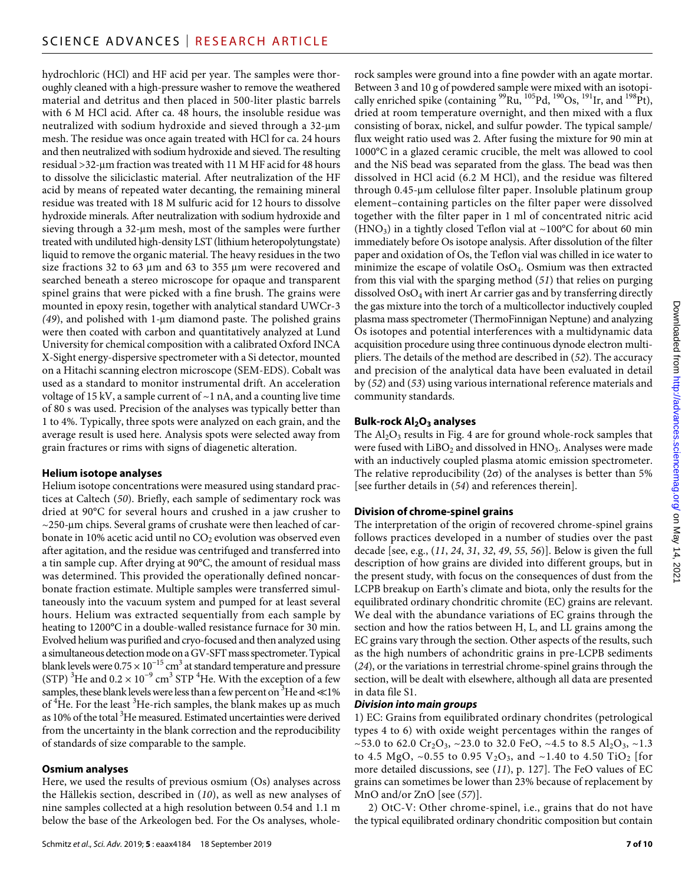hydrochloric (HCl) and HF acid per year. The samples were thoroughly cleaned with a high-pressure washer to remove the weathered material and detritus and then placed in 500-liter plastic barrels with 6 M HCl acid. After ca. 48 hours, the insoluble residue was neutralized with sodium hydroxide and sieved through a 32-µm mesh. The residue was once again treated with HCl for ca. 24 hours and then neutralized with sodium hydroxide and sieved. The resulting residual >32-m fraction was treated with 11 M HF acid for 48 hours to dissolve the siliciclastic material. After neutralization of the HF acid by means of repeated water decanting, the remaining mineral residue was treated with 18 M sulfuric acid for 12 hours to dissolve hydroxide minerals. After neutralization with sodium hydroxide and sieving through a 32-µm mesh, most of the samples were further treated with undiluted high-density LST (lithium heteropolytungstate) liquid to remove the organic material. The heavy residues in the two size fractions 32 to 63  $\mu$ m and 63 to 355  $\mu$ m were recovered and searched beneath a stereo microscope for opaque and transparent spinel grains that were picked with a fine brush. The grains were mounted in epoxy resin, together with analytical standard UWCr-3 *(49)*, and polished with 1-µm diamond paste. The polished grains were then coated with carbon and quantitatively analyzed at Lund University for chemical composition with a calibrated Oxford INCA X-Sight energy-dispersive spectrometer with a Si detector, mounted on a Hitachi scanning electron microscope (SEM-EDS). Cobalt was used as a standard to monitor instrumental drift. An acceleration voltage of  $15 \text{ kV}$ , a sample current of  $\sim$  1 nA, and a counting live time of 80 s was used. Precision of the analyses was typically better than 1 to 4%. Typically, three spots were analyzed on each grain, and the average result is used here. Analysis spots were selected away from grain fractures or rims with signs of diagenetic alteration.

#### **Helium isotope analyses**

Helium isotope concentrations were measured using standard practices at Caltech (*50*). Briefly, each sample of sedimentary rock was dried at 90°C for several hours and crushed in a jaw crusher to  $\sim$ 250-µm chips. Several grams of crushate were then leached of carbonate in 10% acetic acid until no  $CO<sub>2</sub>$  evolution was observed even after agitation, and the residue was centrifuged and transferred into a tin sample cup. After drying at 90°C, the amount of residual mass was determined. This provided the operationally defined noncarbonate fraction estimate. Multiple samples were transferred simultaneously into the vacuum system and pumped for at least several hours. Helium was extracted sequentially from each sample by heating to 1200°C in a double-walled resistance furnace for 30 min. Evolved helium was purified and cryo-focused and then analyzed using a simultaneous detection mode on a GV-SFT mass spectrometer. Typical blank levels were  $0.75 \times 10^{-15}$  cm<sup>3</sup> at standard temperature and pressure (STP)  $\rm{^{3}He}$  and 0.2  $\times$  10 $\rm{^{-9}}$  cm $\rm{^{3}}$  STP  $\rm{^{4}He}$ . With the exception of a few samples, these blank levels were less than a few percent on  $^3$ He and  $\ll$ 1% of  ${}^{4}$ He. For the least  ${}^{3}$ He-rich samples, the blank makes up as much as 10% of the total  $3^3$ He measured. Estimated uncertainties were derived from the uncertainty in the blank correction and the reproducibility of standards of size comparable to the sample.

#### **Osmium analyses**

Here, we used the results of previous osmium (Os) analyses across the Hällekis section, described in (*10*), as well as new analyses of nine samples collected at a high resolution between 0.54 and 1.1 m below the base of the Arkeologen bed. For the Os analyses, whole-

rock samples were ground into a fine powder with an agate mortar. Between 3 and 10 g of powdered sample were mixed with an isotopically enriched spike (containing  $^{99}$ Ru,  $^{105}$ Pd,  $^{190}$ Os,  $^{191}$ Ir, and  $^{198}$ Pt), dried at room temperature overnight, and then mixed with a flux consisting of borax, nickel, and sulfur powder. The typical sample/ flux weight ratio used was 2. After fusing the mixture for 90 min at 1000°C in a glazed ceramic crucible, the melt was allowed to cool and the NiS bead was separated from the glass. The bead was then dissolved in HCl acid (6.2 M HCl), and the residue was filtered through 0.45-µm cellulose filter paper. Insoluble platinum group element–containing particles on the filter paper were dissolved together with the filter paper in 1 ml of concentrated nitric acid  $(HNO<sub>3</sub>)$  in a tightly closed Teflon vial at ~100°C for about 60 min immediately before Os isotope analysis. After dissolution of the filter paper and oxidation of Os, the Teflon vial was chilled in ice water to minimize the escape of volatile OsO4. Osmium was then extracted from this vial with the sparging method (*51*) that relies on purging dissolved OsO4 with inert Ar carrier gas and by transferring directly the gas mixture into the torch of a multicollector inductively coupled plasma mass spectrometer (ThermoFinnigan Neptune) and analyzing Os isotopes and potential interferences with a multidynamic data acquisition procedure using three continuous dynode electron multipliers. The details of the method are described in (*52*). The accuracy and precision of the analytical data have been evaluated in detail by (*52*) and (*53*) using various international reference materials and community standards.

#### **Bulk-rock Al2O3 analyses**

The  $Al_2O_3$  results in Fig. 4 are for ground whole-rock samples that were fused with  $LiBO<sub>2</sub>$  and dissolved in  $HNO<sub>3</sub>$ . Analyses were made with an inductively coupled plasma atomic emission spectrometer. The relative reproducibility ( $2\sigma$ ) of the analyses is better than 5% [see further details in (*54*) and references therein].

#### **Division of chrome-spinel grains**

The interpretation of the origin of recovered chrome-spinel grains follows practices developed in a number of studies over the past decade [see, e.g., (*11*, *24*, *31*, *32*, *49*, *55*, *56*)]. Below is given the full description of how grains are divided into different groups, but in the present study, with focus on the consequences of dust from the LCPB breakup on Earth's climate and biota, only the results for the equilibrated ordinary chondritic chromite (EC) grains are relevant. We deal with the abundance variations of EC grains through the section and how the ratios between H, L, and LL grains among the EC grains vary through the section. Other aspects of the results, such as the high numbers of achondritic grains in pre-LCPB sediments (*24*), or the variations in terrestrial chrome-spinel grains through the section, will be dealt with elsewhere, although all data are presented in data file S1.

#### *Division into main groups*

1) EC: Grains from equilibrated ordinary chondrites (petrological types 4 to 6) with oxide weight percentages within the ranges of ~53.0 to 62.0 Cr<sub>2</sub>O<sub>3</sub>, ~23.0 to 32.0 FeO, ~4.5 to 8.5 Al<sub>2</sub>O<sub>3</sub>, ~1.3 to 4.5 MgO, ~0.55 to 0.95  $V_2O_3$ , and ~1.40 to 4.50 TiO<sub>2</sub> [for more detailed discussions, see (*11*), p. 127]. The FeO values of EC grains can sometimes be lower than 23% because of replacement by MnO and/or ZnO [see (*57*)].

2) OtC-V: Other chrome-spinel, i.e., grains that do not have the typical equilibrated ordinary chondritic composition but contain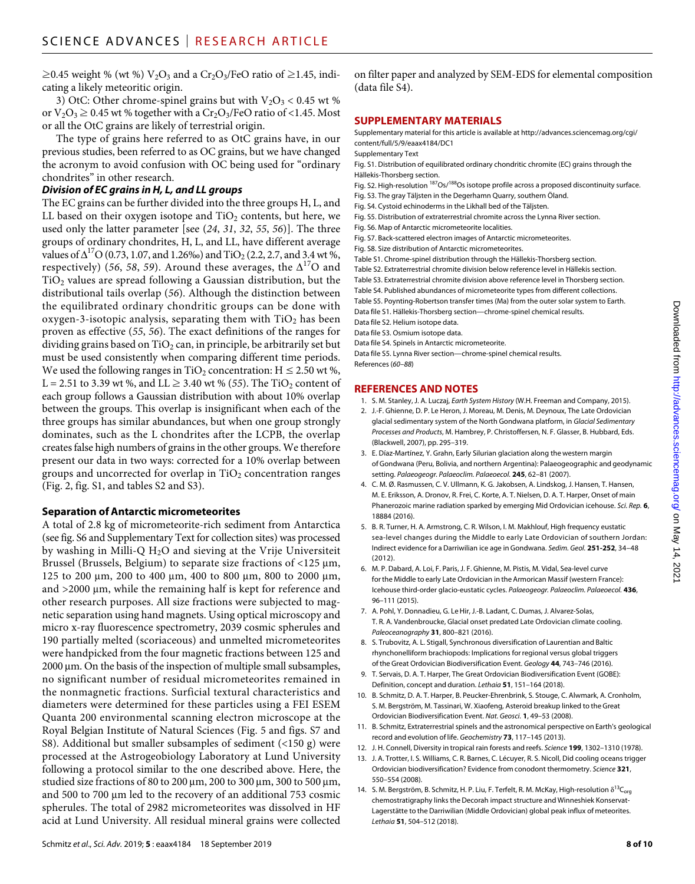≥0.45 weight % (wt %)  $V_2O_3$  and a Cr<sub>2</sub>O<sub>3</sub>/FeO ratio of ≥1.45, indicating a likely meteoritic origin.

3) OtC: Other chrome-spinel grains but with  $V_2O_3 < 0.45$  wt % or  $V_2O_3 \geq 0.45$  wt % together with a  $Cr_2O_3$ /FeO ratio of <1.45. Most or all the OtC grains are likely of terrestrial origin.

The type of grains here referred to as OtC grains have, in our previous studies, been referred to as OC grains, but we have changed the acronym to avoid confusion with OC being used for "ordinary chondrites" in other research.

#### *Division of EC grains in H, L, and LL groups*

The EC grains can be further divided into the three groups H, L, and LL based on their oxygen isotope and  $TiO<sub>2</sub>$  contents, but here, we used only the latter parameter [see (*24*, *31*, *32*, *55*, *56*)]. The three groups of ordinary chondrites, H, L, and LL, have different average values of  $\Delta^{17}O$  (0.73, 1.07, and 1.26‰) and TiO<sub>2</sub> (2.2, 2.7, and 3.4 wt %, respectively) (56, 58, 59). Around these averages, the  $\Delta^{17}$ O and  $TiO<sub>2</sub>$  values are spread following a Gaussian distribution, but the distributional tails overlap (*56*). Although the distinction between the equilibrated ordinary chondritic groups can be done with oxygen-3-isotopic analysis, separating them with  $TiO<sub>2</sub>$  has been proven as effective (*55*, *56*). The exact definitions of the ranges for dividing grains based on  $TiO<sub>2</sub>$  can, in principle, be arbitrarily set but must be used consistently when comparing different time periods. We used the following ranges in TiO<sub>2</sub> concentration:  $H \le 2.50$  wt %, L = 2.51 to 3.39 wt %, and LL  $\geq$  3.40 wt % (55). The TiO<sub>2</sub> content of each group follows a Gaussian distribution with about 10% overlap between the groups. This overlap is insignificant when each of the three groups has similar abundances, but when one group strongly dominates, such as the L chondrites after the LCPB, the overlap creates false high numbers of grains in the other groups. We therefore present our data in two ways: corrected for a 10% overlap between groups and uncorrected for overlap in  $TiO<sub>2</sub>$  concentration ranges (Fig. 2, fig. S1, and tables S2 and S3).

#### **Separation of Antarctic micrometeorites**

A total of 2.8 kg of micrometeorite-rich sediment from Antarctica (see fig. S6 and Supplementary Text for collection sites) was processed by washing in Milli-Q  $H_2O$  and sieving at the Vrije Universiteit Brussel (Brussels, Belgium) to separate size fractions of  $<$ 125  $\mu$ m, 125 to 200 μm, 200 to 400 μm, 400 to 800 μm, 800 to 2000 μm, and  $>2000 \mu m$ , while the remaining half is kept for reference and other research purposes. All size fractions were subjected to magnetic separation using hand magnets. Using optical microscopy and micro x-ray fluorescence spectrometry, 2039 cosmic spherules and 190 partially melted (scoriaceous) and unmelted micrometeorites were handpicked from the four magnetic fractions between 125 and  $2000 \mu m$ . On the basis of the inspection of multiple small subsamples, no significant number of residual micrometeorites remained in the nonmagnetic fractions. Surficial textural characteristics and diameters were determined for these particles using a FEI ESEM Quanta 200 environmental scanning electron microscope at the Royal Belgian Institute of Natural Sciences (Fig. 5 and figs. S7 and S8). Additional but smaller subsamples of sediment (<150 g) were processed at the Astrogeobiology Laboratory at Lund University following a protocol similar to the one described above. Here, the studied size fractions of 80 to 200  $\mu$ m, 200 to 300  $\mu$ m, 300 to 500  $\mu$ m, and 500 to 700  $\mu$ m led to the recovery of an additional 753 cosmic spherules. The total of 2982 micrometeorites was dissolved in HF acid at Lund University. All residual mineral grains were collected

#### **SUPPLEMENTARY MATERIALS**

Supplementary material for this article is available at [http://advances.sciencemag.org/cgi/](http://advances.sciencemag.org/cgi/content/full/5/9/eaax4184/DC1) [content/full/5/9/eaax4184/DC1](http://advances.sciencemag.org/cgi/content/full/5/9/eaax4184/DC1)

Supplementary Text

Fig. S1. Distribution of equilibrated ordinary chondritic chromite (EC) grains through the Hällekis-Thorsberg section.

Fig. S2. High-resolution 187Os/188Os isotope profile across a proposed discontinuity surface.

- Fig. S3. The gray Täljsten in the Degerhamn Quarry, southern Öland.
- Fig. S4. Cystoid echinoderms in the Likhall bed of the Täljsten.
- Fig. S5. Distribution of extraterrestrial chromite across the Lynna River section.
- Fig. S6. Map of Antarctic micrometeorite localities.
- Fig. S7. Back-scattered electron images of Antarctic micrometeorites. Fig. S8. Size distribution of Antarctic micrometeorites.
- Table S1. Chrome-spinel distribution through the Hällekis-Thorsberg section.
- Table S2. Extraterrestrial chromite division below reference level in Hällekis section.
- 
- Table S3. Extraterrestrial chromite division above reference level in Thorsberg section. Table S4. Published abundances of micrometeorite types from different collections.
- Table S5. Poynting-Robertson transfer times (Ma) from the outer solar system to Earth.
- Data file S1. Hällekis-Thorsberg section—chrome-spinel chemical results.

Data file S2. Helium isotope data.

Data file S3. Osmium isotope data.

Data file S4. Spinels in Antarctic micrometeorite.

Data file S5. Lynna River section—chrome-spinel chemical results.

References (*60*–*88*)

#### **REFERENCES AND NOTES**

- 1. S. M. Stanley, J. A. Luczaj, *Earth System History* (W.H. Freeman and Company, 2015).
- 2. J.-F. Ghienne, D. P. Le Heron, J. Moreau, M. Denis, M. Deynoux, The Late Ordovician glacial sedimentary system of the North Gondwana platform, in *Glacial Sedimentary Processes and Products*, M. Hambrey, P. Christoffersen, N. F. Glasser, B. Hubbard, Eds. (Blackwell, 2007), pp. 295–319.
- 3. E. Díaz-Martínez, Y. Grahn, Early Silurian glaciation along the western margin of Gondwana (Peru, Bolivia, and northern Argentina): Palaeogeographic and geodynamic setting. *Palaeogeogr. Palaeoclim. Palaeoecol.* **245**, 62–81 (2007).
- 4. C. M. Ø. Rasmussen, C. V. Ullmann, K. G. Jakobsen, A. Lindskog, J. Hansen, T. Hansen, M. E. Eriksson, A. Dronov, R. Frei, C. Korte, A. T. Nielsen, D. A. T. Harper, Onset of main Phanerozoic marine radiation sparked by emerging Mid Ordovician icehouse. *Sci. Rep.* **6**, 18884 (2016).
- 5. B. R. Turner, H. A. Armstrong, C. R. Wilson, I. M. Makhlouf, High frequency eustatic sea-level changes during the Middle to early Late Ordovician of southern Jordan: Indirect evidence for a Darriwilian ice age in Gondwana. *Sedim. Geol.* **251-252**, 34–48 (2012).
- 6. M. P. Dabard, A. Loi, F. Paris, J. F. Ghienne, M. Pistis, M. Vidal, Sea-level curve for the Middle to early Late Ordovician in the Armorican Massif (western France): Icehouse third-order glacio-eustatic cycles. *Palaeogeogr. Palaeoclim. Palaeoecol.* **436**, 96–111 (2015).
- 7. A. Pohl, Y. Donnadieu, G. Le Hir, J.-B. Ladant, C. Dumas, J. Alvarez-Solas, T. R. A. Vandenbroucke, Glacial onset predated Late Ordovician climate cooling. *Paleoceanography* **31**, 800–821 (2016).
- 8. S. Trubovitz, A. L. Stigall, Synchronous diversification of Laurentian and Baltic rhynchonelliform brachiopods: Implications for regional versus global triggers of the Great Ordovician Biodiversification Event. *Geology* **44**, 743–746 (2016).
- 9. T. Servais, D. A. T. Harper, The Great Ordovician Biodiversification Event (GOBE): Definition, concept and duration. *Lethaia* **51**, 151–164 (2018).
- 10. B. Schmitz, D. A. T. Harper, B. Peucker-Ehrenbrink, S. Stouge, C. Alwmark, A. Cronholm, S. M. Bergström, M. Tassinari, W. Xiaofeng, Asteroid breakup linked to the Great Ordovician Biodiversification Event. *Nat. Geosci.* **1**, 49–53 (2008).
- 11. B. Schmitz, Extraterrestrial spinels and the astronomical perspective on Earth's geological record and evolution of life. *Geochemistry* **73**, 117–145 (2013).
- 12. J. H. Connell, Diversity in tropical rain forests and reefs. *Science* **199**, 1302–1310 (1978).
- 13. J. A. Trotter, I. S. Williams, C. R. Barnes, C. Lécuyer, R. S. Nicoll, Did cooling oceans trigger Ordovician biodiversification? Evidence from conodont thermometry. *Science* **321**, 550–554 (2008).
- 14. S. M. Bergström, B. Schmitz, H. P. Liu, F. Terfelt, R. M. McKay, High-resolution  $\delta^{13}C_{org}$ chemostratigraphy links the Decorah impact structure and Winneshiek Konservat-Lagerstätte to the Darriwilian (Middle Ordovician) global peak influx of meteorites. *Lethaia* **51**, 504–512 (2018).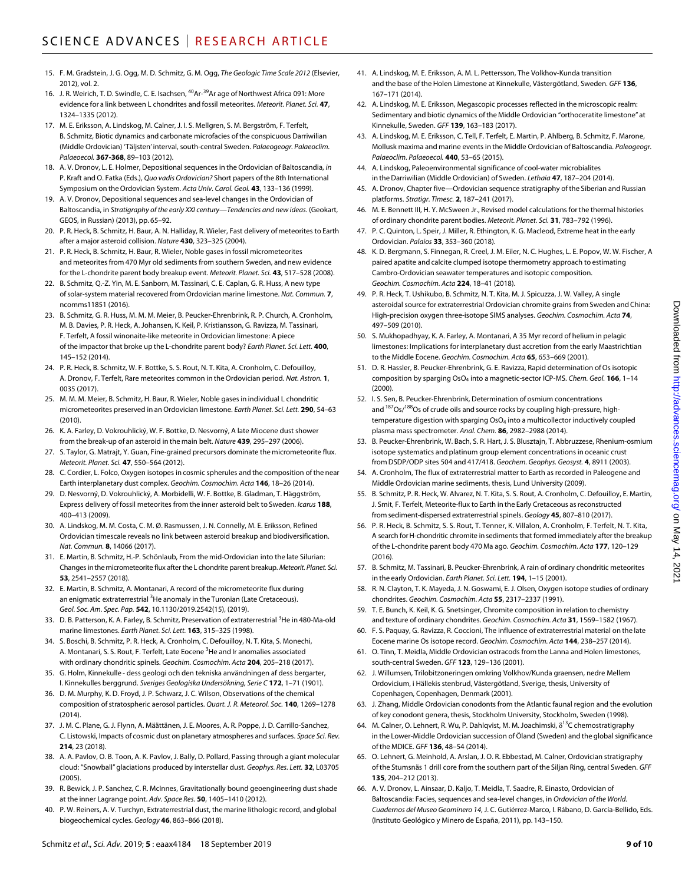- 15. F. M. Gradstein, J. G. Ogg, M. D. Schmitz, G. M. Ogg, *The Geologic Time Scale 2012* (Elsevier, 2012), vol. 2.
- 16. J. R. Weirich, T. D. Swindle, C. E. Isachsen, <sup>40</sup>Ar-<sup>39</sup>Ar age of Northwest Africa 091: More evidence for a link between L chondrites and fossil meteorites. *Meteorit. Planet. Sci.* **47**, 1324–1335 (2012).
- 17. M. E. Eriksson, A. Lindskog, M. Calner, J. I. S. Mellgren, S. M. Bergström, F. Terfelt, B. Schmitz, Biotic dynamics and carbonate microfacies of the conspicuous Darriwilian (Middle Ordovician) 'Täljsten' interval, south-central Sweden. *Palaeogeogr. Palaeoclim. Palaeoecol.* **367-368**, 89–103 (2012).
- 18. A. V. Dronov, L. E. Holmer, Depositional sequences in theOrdovician of Baltoscandia, *in* P. Kraft andO. Fatka (Eds.), *Quo vadis Ordovician?* Short papers of the 8th International Symposium on theOrdovician System. *Acta Univ. Carol. Geol.* **43**, 133–136 (1999).
- 19. A. V. Dronov, Depositional sequences and sea-level changes in the Ordovician of Baltoscandia, in *Stratigraphy of the early XXI century—Tendencies and new ideas*. (Geokart, GEOS, in Russian) (2013), pp. 65–92.
- 20. P. R. Heck, B. Schmitz, H. Baur, A. N. Halliday, R. Wieler, Fast delivery of meteorites to Earth after a major asteroid collision. *Nature* **430**, 323–325 (2004).
- 21. P. R. Heck, B. Schmitz, H. Baur, R. Wieler, Noble gases in fossil micrometeorites and meteorites from 470 Myr old sediments from southern Sweden, and new evidence for the L-chondrite parent body breakup event. *Meteorit. Planet. Sci.* **43**, 517–528 (2008).
- 22. B. Schmitz, Q.-Z. Yin, M. E. Sanborn, M. Tassinari, C. E. Caplan, G. R. Huss, A new type ofsolar-system material recovered from Ordovician marine limestone. *Nat. Commun.* **7**, ncomms11851 (2016).
- 23. B. Schmitz, G. R. Huss, M. M. M. Meier, B. Peucker-Ehrenbrink, R. P. Church, A. Cronholm, M. B. Davies, P. R. Heck, A. Johansen, K. Keil, P. Kristiansson, G. Ravizza, M. Tassinari, F. Terfelt, A fossil winonaite-like meteorite in Ordovician limestone: A piece of the impactor that broke up the L-chondrite parent body? *Earth Planet. Sci. Lett.* **400**, 145–152 (2014).
- 24. P. R. Heck, B. Schmitz, W. F. Bottke, S. S. Rout, N. T. Kita, A. Cronholm, C. Defouilloy, A. Dronov, F. Terfelt, Rare meteorites common in theOrdovician period. *Nat. Astron.* **1**, 0035 (2017).
- 25. M. M. M. Meier, B. Schmitz, H. Baur, R. Wieler, Noble gases in individual L chondritic micrometeorites preserved in anOrdovician limestone. *Earth Planet. Sci. Lett.* **290**, 54–63 (2010).
- 26. K. A. Farley, D. Vokrouhlický, W. F. Bottke, D. Nesvorný, A late Miocene dust shower from the break-up of an asteroid in the main belt. *Nature* **439**, 295–297 (2006).
- 27. S. Taylor, G. Matrajt, Y. Guan, Fine-grained precursors dominate the micrometeorite flux. *Meteorit. Planet. Sci.* **47**, 550–564 (2012).
- 28. C. Cordier, L. Folco, Oxygen isotopes in cosmic spherules and the composition of the near Earth interplanetary dust complex. *Geochim. Cosmochim. Acta* **146**, 18–26 (2014).
- 29. D. Nesvorný, D. Vokrouhlický, A. Morbidelli, W. F. Bottke, B. Gladman, T. Häggström, Express delivery of fossil meteorites from the inner asteroid belt to Sweden. *Icarus* **188**, 400–413 (2009).
- 30. A. Lindskog, M. M. Costa, C. M. Ø. Rasmussen, J. N. Connelly, M. E. Eriksson, Refined Ordovician timescale reveals no link between asteroid breakup and biodiversification. *Nat. Commun.* **8**, 14066 (2017).
- 31. E. Martin, B. Schmitz, H.-P. Schönlaub, From the mid-Ordovician into the late Silurian: Changes inthemicrometeorite flux after the L chondrite parent breakup. *Meteorit. Planet. Sci.* **53**, 2541–2557 (2018).
- 32. E. Martin, B. Schmitz, A. Montanari, A record of the micrometeorite flux during an enigmatic extraterrestrial <sup>3</sup>He anomaly in the Turonian (Late Cretaceous). *Geol. Soc. Am. Spec. Pap.* **542**, 10.1130/2019.2542(15), (2019).
- 33. D. B. Patterson, K. A. Farley, B. Schmitz, Preservation of extraterrestrial <sup>3</sup>He in 480-Ma-old marine limestones. *Earth Planet. Sci. Lett.* **163**, 315–325 (1998).
- 34. S. Boschi, B. Schmitz, P. R. Heck, A. Cronholm, C. Defouilloy, N. T. Kita, S. Monechi, A. Montanari, S. S. Rout, F. Terfelt, Late Eocene <sup>3</sup>He and Ir anomalies associated with ordinary chondritic spinels. *Geochim. Cosmochim. Acta* **204**, 205–218 (2017).
- 35. G. Holm, Kinnekulle dess geologi och den tekniska användningen af dess bergarter, I. Kinnekulles berggrund. *Sveriges Geologiska Undersökning, Serie C* **172**, 1–71 (1901).
- 36. D. M. Murphy, K. D. Froyd, J. P. Schwarz, J. C. Wilson, Observations of the chemical composition ofstratospheric aerosol particles. *Quart. J. R. Meteorol. Soc.* **140**, 1269–1278 (2014).
- 37. J. M. C. Plane, G. J. Flynn, A. Määttänen, J. E. Moores, A. R. Poppe, J. D. Carrillo-Sanchez, C. Listowski, Impacts of cosmic dust on planetary atmospheres and surfaces. *Space Sci. Rev.* **214**, 23 (2018).
- 38. A. A. Pavlov, O. B. Toon, A. K. Pavlov, J. Bally, D. Pollard, Passing through a giant molecular cloud: "Snowball" glaciations produced by interstellar dust. *Geophys. Res. Lett.* **32**, L03705  $(2005)$
- 39. R. Bewick, J. P. Sanchez, C. R. McInnes, Gravitationally bound geoengineering dust shade at the inner Lagrange point. *Adv. Space Res.* **50**, 1405–1410 (2012).
- 40. P. W. Reiners, A. V. Turchyn, Extraterrestrial dust, the marine lithologic record, and global biogeochemical cycles. *Geology* **46**, 863–866 (2018).
- 41. A. Lindskog, M. E. Eriksson, A. M. L. Pettersson, The Volkhov-Kunda transition and the base of the Holen Limestone at Kinnekulle, Västergötland, Sweden. *GFF* **136**, 167–171 (2014).
- 42. A. Lindskog, M. E. Eriksson, Megascopic processes reflected in the microscopic realm: Sedimentary and biotic dynamics of the Middle Ordovician "orthoceratite limestone" at Kinnekulle, Sweden. *GFF* **139**, 163–183 (2017).
- 43. A. Lindskog, M. E. Eriksson, C. Tell, F. Terfelt, E. Martin, P. Ahlberg, B. Schmitz, F. Marone, Mollusk maxima and marine events in the Middle Ordovician of Baltoscandia. *Paleogeogr. Palaeoclim. Palaeoecol.* **440**, 53–65 (2015).
- 44. A. Lindskog, Paleoenvironmental significance of cool-water microbialites in the Darriwilian (Middle Ordovician) of Sweden. *Lethaia* **47**, 187–204 (2014).
- 45. A. Dronov, Chapter five—Ordovician sequence stratigraphy of the Siberian and Russian platforms. *Stratigr. Timesc.* **2**, 187–241 (2017).
- 46. M. E. Bennett III, H. Y. McSween Jr., Revised model calculations for the thermal histories of ordinary chondrite parent bodies. *Meteorit. Planet. Sci.* **31**, 783–792 (1996).
- 47. P. C. Quinton, L. Speir, J. Miller, R. Ethington, K. G. Macleod, Extreme heat in the early Ordovician. *Palaios* **33**, 353–360 (2018).
- 48. K. D. Bergmann, S. Finnegan, R. Creel, J. M. Eiler, N. C. Hughes, L. E. Popov, W. W. Fischer, A paired apatite and calcite clumped isotope thermometry approach to estimating Cambro-Ordovician seawater temperatures and isotopic composition. *Geochim. Cosmochim. Acta* **224**, 18–41 (2018).
- 49. P. R. Heck, T. Ushikubo, B. Schmitz, N. T. Kita, M. J. Spicuzza, J. W. Valley, A single asteroidal source for extraterrestrial Ordovician chromite grains from Sweden and China: High-precision oxygen three-isotope SIMS analyses. *Geochim. Cosmochim. Acta* **74**, 497–509 (2010).
- 50. S. Mukhopadhyay, K. A. Farley, A. Montanari, A 35 Myr record of helium in pelagic limestones: Implications for interplanetary dust accretion from the early Maastrichtian to the Middle Eocene. *Geochim. Cosmochim. Acta* **65**, 653–669 (2001).
- 51. D. R. Hassler, B. Peucker-Ehrenbrink, G. E. Ravizza, Rapid determination of Os isotopic composition by sparging OsO4 into a magnetic-sector ICP-MS. *Chem. Geol.* **166**, 1–14 (2000).
- 52. I. S. Sen, B. Peucker-Ehrenbrink, Determination of osmium concentrations and <sup>187</sup>Os/<sup>188</sup>Os of crude oils and source rocks by coupling high-pressure, hightemperature digestion with sparging OsO<sub>4</sub> into a multicollector inductively coupled plasma mass spectrometer. *Anal. Chem.* **86**, 2982–2988 (2014).
- 53. B. Peucker-Ehrenbrink, W. Bach, S. R. Hart, J. S. Blusztajn, T. Abbruzzese, Rhenium-osmium isotope systematics and platinum group element concentrations in oceanic crust from DSDP/ODP sites 504 and 417/418. *Geochem. Geophys. Geosyst.* **4**, 8911 (2003).
- 54. A. Cronholm, The flux of extraterrestrial matter to Earth as recorded in Paleogene and Middle Ordovician marine sediments, thesis, Lund University (2009).
- 55. B. Schmitz, P. R. Heck, W. Alvarez, N. T. Kita, S. S. Rout, A. Cronholm, C. Defouilloy, E. Martin, J. Smit, F. Terfelt, Meteorite-flux to Earth in the Early Cretaceous asreconstructed from sediment-dispersed extraterrestrial spinels. *Geology* **45**, 807–810 (2017).
- 56. P. R. Heck, B. Schmitz, S. S. Rout, T. Tenner, K. Villalon, A. Cronholm, F. Terfelt, N. T. Kita, A search forH-chondritic chromite in sediments that formed immediately after the breakup of the L-chondrite parent body 470 Ma ago. *Geochim. Cosmochim. Acta* **177**, 120–129 (2016).
- 57. B. Schmitz, M. Tassinari, B. Peucker-Ehrenbrink, A rain of ordinary chondritic meteorites in the early Ordovician. *Earth Planet. Sci. Lett.* **194**, 1–15 (2001).
- 58. R. N. Clayton, T. K. Mayeda, J. N. Goswami, E. J. Olsen, Oxygen isotope studies of ordinary chondrites. *Geochim. Cosmochim. Acta* **55**, 2317–2337 (1991).
- 59. T. E. Bunch, K. Keil, K. G. Snetsinger, Chromite composition in relation to chemistry and texture of ordinary chondrites. *Geochim. Cosmochim. Acta* **31**, 1569–1582 (1967).
- 60. F. S. Paquay, G. Ravizza, R. Coccioni, The influence of extraterrestrial material on the late Eocene marine Os isotope record. *Geochim. Cosmochim. Acta* **144**, 238–257 (2014).
- 61. O. Tinn, T. Meidla, Middle Ordovician ostracods from the Lanna and Holen limestones, south-central Sweden. *GFF* **123**, 129–136 (2001).
- 62. J. Willumsen, Trilobitzoneringen omkring Volkhov/Kunda graensen, nedre Mellem Ordovicium, i Hällekis stenbrud, Västergötland, Sverige, thesis, University of Copenhagen, Copenhagen, Denmark (2001).
- 63. J. Zhang, Middle Ordovician conodonts from the Atlantic faunal region and the evolution of key conodont genera, thesis, Stockholm University, Stockholm, Sweden (1998).
- 64. M. Calner, O. Lehnert, R. Wu, P. Dahlqvist, M. M. Joachimski,  $\delta^{13}$ C chemostratigraphy in the Lower-Middle Ordovician succession ofÖland (Sweden) and the global significance of the MDICE. *GFF* **136**, 48–54 (2014).
- 65. O. Lehnert, G. Meinhold, A. Arslan, J. O. R. Ebbestad, M. Calner, Ordovician stratigraphy of the Stumsnäs 1 drill core from the southern part of the Siljan Ring, central Sweden. *GFF* **135**, 204–212 (2013).
- 66. A. V. Dronov, L. Ainsaar, D. Kaljo, T. Meidla, T. Saadre, R. Einasto, Ordovician of Baltoscandia: Facies, sequences and sea-level changes, in *Ordovician of the World. Cuadernos del Museo Geominero 14*, J. C. Gutiérrez-Marco, I. Rábano, D. García-Bellido, Eds. (Instituto Geológico y Minero de España, 2011), pp. 143–150.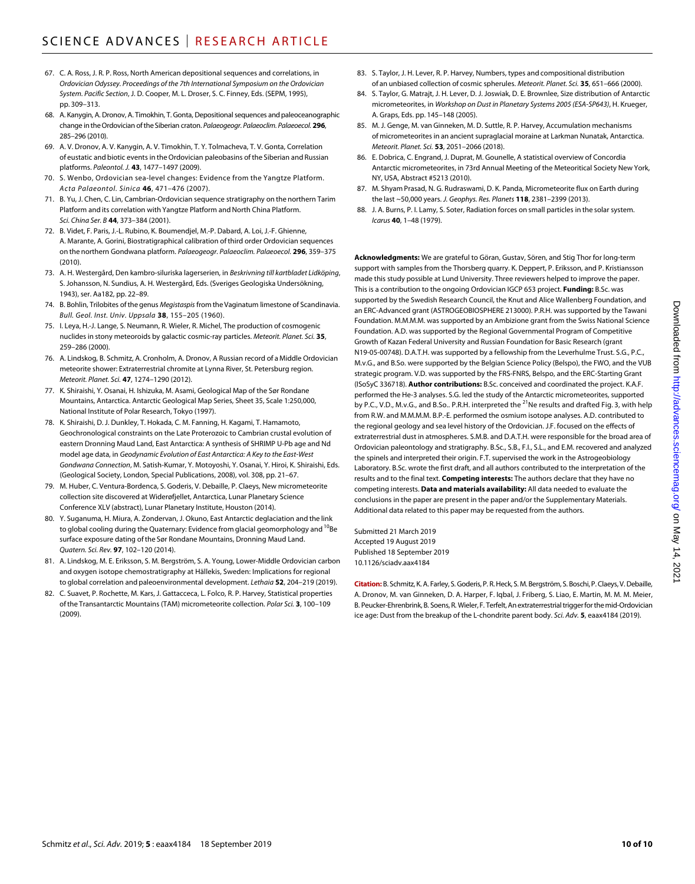- 67. C. A. Ross, J. R. P. Ross, North American depositional sequences and correlations, in *Ordovician Odyssey. Proceedings of the 7th International Symposium on the Ordovician System. Pacific Section*, J. D. Cooper, M. L. Droser, S. C. Finney, Eds. (SEPM, 1995), pp. 309–313.
- 68. A. Kanygin, A. Dronov, A. Timokhin, T. Gonta, Depositional sequences and paleoceanographic change intheOrdovician ofthe Siberian craton. *Palaeogeogr. Palaeoclim. Palaeoecol.* **296**, 285–296 (2010).
- 69. A. V. Dronov, A. V. Kanygin, A. V. Timokhin, T. Y. Tolmacheva, T. V. Gonta, Correlation of eustatic and biotic events in theOrdovician paleobasins of the Siberian and Russian platforms. *Paleontol. J.* **43**, 1477–1497 (2009).
- 70. S. Wenbo, Ordovician sea-level changes: Evidence from the Yangtze Platform. *Acta Palaeontol. Sinica* **46**, 471–476 (2007).
- 71. B. Yu, J. Chen, C. Lin, Cambrian-Ordovician sequence stratigraphy on the northern Tarim Platform and its correlation with Yangtze Platform and North China Platform. *Sci. China Ser. B* **44**, 373–384 (2001).
- 72. B. Videt, F. Paris, J.-L. Rubino, K. Boumendjel, M.-P. Dabard, A. Loi, J.-F. Ghienne, A. Marante, A. Gorini, Biostratigraphical calibration of third order Ordovician sequences on the northern Gondwana platform. *Palaeogeogr. Palaeoclim. Palaeoecol.* **296**, 359–375 (2010).
- 73. A. H. Westergård, Den kambro-siluriska lagerserien, in *Beskrivning till kartbladet Lidköping*, S. Johansson, N. Sundius, A. H. Westergård, Eds. (Sveriges Geologiska Undersökning, 1943), ser. Aa182, pp. 22–89.
- 74. B. Bohlin, Trilobites ofthe genus *Megistaspis* from the Vaginatum limestone of Scandinavia. *Bull. Geol. Inst. Univ. Uppsala* **38**, 155–205 (1960).
- 75. I. Leya, H.-J. Lange, S. Neumann, R. Wieler, R. Michel, The production of cosmogenic nuclides in stony meteoroids by galactic cosmic-ray particles. *Meteorit. Planet. Sci.* **35**, 259–286 (2000).
- 76. A. Lindskog, B. Schmitz, A. Cronholm, A. Dronov, A Russian record of a Middle Ordovician meteorite shower: Extraterrestrial chromite at Lynna River, St. Petersburg region. *Meteorit. Planet. Sci.* **47**, 1274–1290 (2012).
- 77. K. Shiraishi, Y. Osanai, H. Ishizuka, M. Asami, Geological Map of the Sør Rondane Mountains, Antarctica. Antarctic Geological Map Series, Sheet 35, Scale 1:250,000, National Institute of Polar Research, Tokyo (1997).
- 78. K. Shiraishi, D. J. Dunkley, T. Hokada, C. M. Fanning, H. Kagami, T. Hamamoto, Geochronological constraints on the Late Proterozoic to Cambrian crustal evolution of eastern Dronning Maud Land, East Antarctica: A synthesis of SHRIMP U-Pb age and Nd model age data, in *Geodynamic Evolution of East Antarctica: A Key to the East-West Gondwana Connection*, M. Satish-Kumar, Y. Motoyoshi, Y. Osanai, Y. Hiroi, K. Shiraishi, Eds. (Geological Society, London, Special Publications, 2008), vol. 308, pp. 21–67.
- 79. M. Huber, C. Ventura-Bordenca, S. Goderis, V. Debaille, P. Claeys, New micrometeorite collection site discovered at Widerøfjellet, Antarctica, Lunar Planetary Science Conference XLV (abstract), Lunar Planetary Institute, Houston (2014).
- 80. Y. Suganuma, H. Miura, A. Zondervan, J. Okuno, East Antarctic deglaciation and the link to global cooling during the Quaternary: Evidence from glacial geomorphology and <sup>10</sup>Be surface exposure dating of the Sør Rondane Mountains, Dronning Maud Land. *Quatern. Sci. Rev.* **97**, 102–120 (2014).
- 81. A. Lindskog, M. E. Eriksson, S. M. Bergström, S. A. Young, Lower-Middle Ordovician carbon and oxygen isotope chemostratigraphy at Hällekis, Sweden: Implications for regional to global correlation and paleoenvironmental development. *Lethaia* **52**, 204–219 (2019).
- 82. C. Suavet, P. Rochette, M. Kars, J. Gattacceca, L. Folco, R. P. Harvey, Statistical properties of the Transantarctic Mountains (TAM) micrometeorite collection. *Polar Sci.* **3**, 100–109 (2009).
- 83. S. Taylor, J. H. Lever, R. P. Harvey, Numbers, types and compositional distribution of an unbiased collection of cosmic spherules. *Meteorit. Planet. Sci.* **35**, 651–666 (2000).
- 84. S. Taylor, G. Matrajt, J. H. Lever, D. J. Joswiak, D. E. Brownlee, Size distribution of Antarctic micrometeorites, in *Workshop on Dust in Planetary Systems 2005 (ESA-SP643)*, H. Krueger, A. Graps, Eds. pp. 145–148 (2005).
- 85. M. J. Genge, M. van Ginneken, M. D. Suttle, R. P. Harvey, Accumulation mechanisms of micrometeorites in an ancient supraglacial moraine at Larkman Nunatak, Antarctica. *Meteorit. Planet. Sci.* **53**, 2051–2066 (2018).
- 86. E. Dobrica, C. Engrand, J. Duprat, M. Gounelle, A statistical overview of Concordia Antarctic micrometeorites, in 73rd Annual Meeting of the Meteoritical Society New York, NY, USA, Abstract #5213 (2010).
- 87. M. Shyam Prasad, N. G. Rudraswami, D. K. Panda, Micrometeorite flux on Earth during the last ~50,000 years. *J. Geophys. Res. Planets* **118**, 2381–2399 (2013).
- 88. J. A. Burns, P. I. Lamy, S. Soter, Radiation forces on small particles in the solar system. *Icarus* **40**, 1–48 (1979).

**Acknowledgments:** We are grateful to Göran, Gustav, Sören, and Stig Thor for long-term support with samples from the Thorsberg quarry. K. Deppert, P. Eriksson, and P. Kristiansson made this study possible at Lund University. Three reviewers helped to improve the paper. This is a contribution to the ongoing Ordovician IGCP 653 project. **Funding:** B.Sc. was supported by the Swedish Research Council, the Knut and Alice Wallenberg Foundation, and an ERC-Advanced grant (ASTROGEOBIOSPHERE 213000). P.R.H. was supported by the Tawani Foundation. M.M.M.M. was supported by an Ambizione grant from the Swiss National Science Foundation. A.D. was supported by the Regional Governmental Program of Competitive Growth of Kazan Federal University and Russian Foundation for Basic Research (grant N19-05-00748). D.A.T.H. was supported by a fellowship from the Leverhulme Trust. S.G., P.C., M.v.G., and B.So. were supported by the Belgian Science Policy (Belspo), the FWO, and the VUB strategic program. V.D. was supported by the FRS-FNRS, Belspo, and the ERC-Starting Grant (ISoSyC 336718). **Author contributions:** B.Sc. conceived and coordinated the project. K.A.F. performed the He-3 analyses. S.G. led the study of the Antarctic micrometeorites, supported by P.C., V.D., M.v.G., and B.So.. P.R.H. interpreted the <sup>21</sup>Ne results and drafted Fig. 3, with help from R.W. and M.M.M.M. B.P.-E. performed the osmium isotope analyses. A.D. contributed to the regional geology and sea level history of the Ordovician. J.F. focused on the effects of extraterrestrial dust in atmospheres. S.M.B. and D.A.T.H. were responsible for the broad area of Ordovician paleontology and stratigraphy. B.Sc., S.B., F.I., S.L., and E.M. recovered and analyzed the spinels and interpreted their origin. F.T. supervised the work in the Astrogeobiology Laboratory. B.Sc. wrote the first draft, and all authors contributed to the interpretation of the results and to the final text. **Competing interests:** The authors declare that they have no competing interests. **Data and materials availability:** All data needed to evaluate the conclusions in the paper are present in the paper and/or the Supplementary Materials. Additional data related to this paper may be requested from the authors.

Submitted 21 March 2019 Accepted 19 August 2019 Published 18 September 2019 10.1126/sciadv.aax4184

**Citation:** B. Schmitz, K. A. Farley, S.Goderis, P. R. Heck, S. M. Bergström, S. Boschi, P. Claeys, V.Debaille, A. Dronov, M. van Ginneken, D. A. Harper, F. Iqbal, J. Friberg, S. Liao, E. Martin, M. M. M. Meier, B. Peucker-Ehrenbrink, B. Soens, R. Wieler, F. Terfelt, An extraterrestrial trigger for the mid-Ordovician ice age: Dust from the breakup of the L-chondrite parent body. *Sci. Adv.* **5**, eaax4184 (2019).